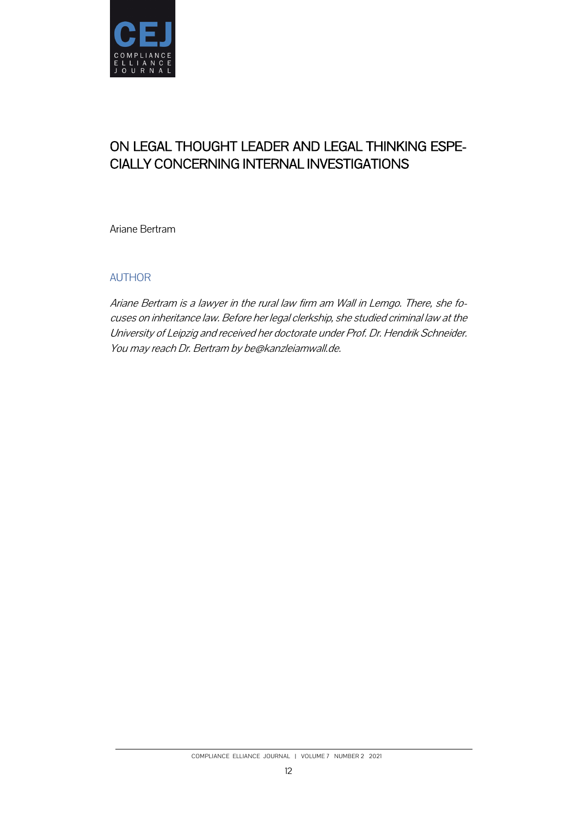

# ON LEGAL THOUGHT LEADER AND LEGAL THINKING ESPE-CIALLY CONCERNING INTERNAL INVESTIGATIONS

Ariane Bertram

# AUTHOR

Ariane Bertram is a lawyer in the rural law firm am Wall in Lemgo. There, she focuses on inheritance law. Before her legal clerkship, she studied criminal law at the University of Leipzig and received her doctorate under Prof. Dr. Hendrik Schneider. You may reach Dr. Bertram by be@kanzleiamwall.de.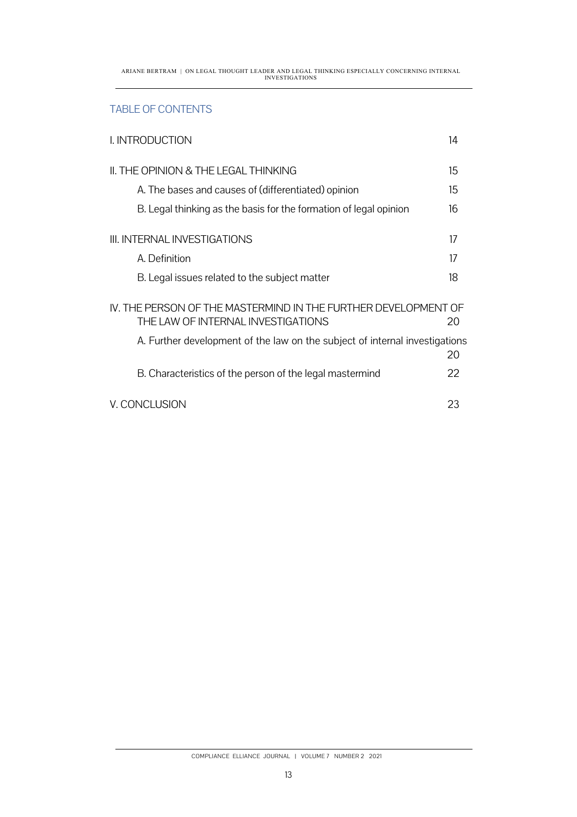ARIANE BERTRAM | ON LEGAL THOUGHT LEADER AND LEGAL THINKING ESPECIALLY CONCERNING INTERNAL INVESTIGATIONS

# TABLE OF CONTENTS

| I. INTRODUCTION                                                                                      | 14 |
|------------------------------------------------------------------------------------------------------|----|
| II. THE OPINION & THE LEGAL THINKING                                                                 | 15 |
| A. The bases and causes of (differentiated) opinion                                                  | 15 |
| B. Legal thinking as the basis for the formation of legal opinion                                    | 16 |
| III, INTERNAL INVESTIGATIONS                                                                         | 17 |
| A. Definition                                                                                        | 17 |
| B. Legal issues related to the subject matter                                                        | 18 |
| IV. THE PERSON OF THE MASTERMIND IN THE FURTHER DEVELOPMENT OF<br>THE LAW OF INTERNAL INVESTIGATIONS | 20 |
| A. Further development of the law on the subject of internal investigations                          | 20 |
| B. Characteristics of the person of the legal mastermind                                             | 22 |
| V. CONCLUSION                                                                                        | 23 |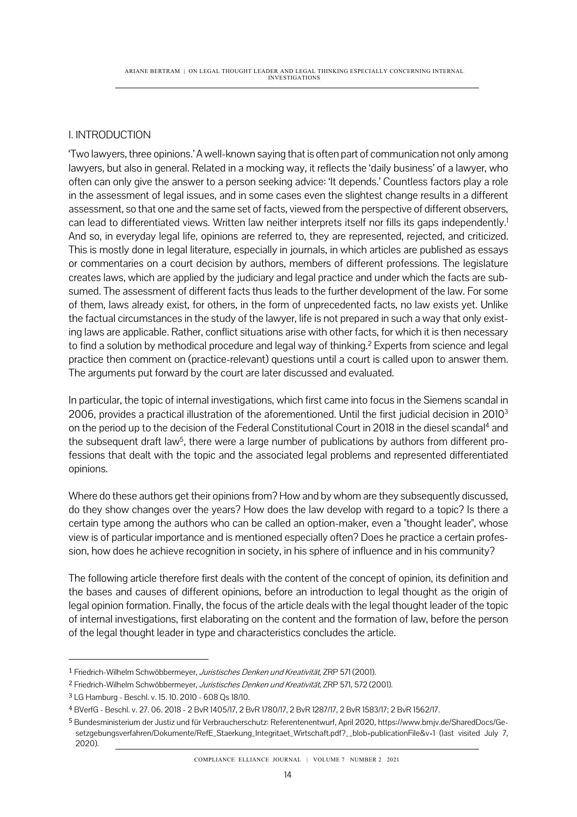# I. INTRODUCTION

'Two lawyers, three opinions.' A well-known saying that is often part of communication not only among lawyers, but also in general. Related in a mocking way, it reflects the 'daily business' of a lawyer, who often can only give the answer to a person seeking advice: 'It depends.' Countless factors play a role in the assessment of legal issues, and in some cases even the slightest change results in a different assessment, so that one and the same set of facts, viewed from the perspective of different observers, can lead to differentiated views. Written law neither interprets itself nor fills its gaps independently. 1 And so, in everyday legal life, opinions are referred to, they are represented, rejected, and criticized. This is mostly done in legal literature, especially in journals, in which articles are published as essays or commentaries on a court decision by authors, members of different professions. The legislature creates laws, which are applied by the judiciary and legal practice and under which the facts are subsumed. The assessment of different facts thus leads to the further development of the law. For some of them, laws already exist, for others, in the form of unprecedented facts, no law exists yet. Unlike the factual circumstances in the study of the lawyer, life is not prepared in such a way that only existing laws are applicable. Rather, conflict situations arise with other facts, for which it is then necessary to find a solution by methodical procedure and legal way of thinking.<sup>2</sup> Experts from science and legal practice then comment on (practice-relevant) questions until a court is called upon to answer them. The arguments put forward by the court are later discussed and evaluated.

In particular, the topic of internal investigations, which first came into focus in the Siemens scandal in 2006, provides a practical illustration of the aforementioned. Until the first judicial decision in 2010<sup>3</sup> on the period up to the decision of the Federal Constitutional Court in 2018 in the diesel scandal<sup>4</sup> and the subsequent draft law<sup>5</sup>, there were a large number of publications by authors from different professions that dealt with the topic and the associated legal problems and represented differentiated opinions.

Where do these authors get their opinions from? How and by whom are they subsequently discussed, do they show changes over the years? How does the law develop with regard to a topic? Is there a certain type among the authors who can be called an option-maker, even a "thought leader", whose view is of particular importance and is mentioned especially often? Does he practice a certain profession, how does he achieve recognition in society, in his sphere of influence and in his community?

The following article therefore first deals with the content of the concept of opinion, its definition and the bases and causes of different opinions, before an introduction to legal thought as the origin of legal opinion formation. Finally, the focus of the article deals with the legal thought leader of the topic of internal investigations, first elaborating on the content and the formation of law, before the person of the legal thought leader in type and characteristics concludes the article.

<sup>1</sup> Friedrich-Wilhelm Schwöbbermeyer, Juristisches Denken und Kreativität, ZRP 571 (2001).

<sup>&</sup>lt;sup>2</sup> Friedrich-Wilhelm Schwöbbermeyer, Juristisches Denken und Kreativität, ZRP 571, 572 (2001).

<sup>3</sup> LG Hamburg - Beschl. v. 15. 10. 2010 - 608 Qs 18/10.

<sup>4</sup> BVerfG - Beschl. v. 27. 06. 2018 - 2 BvR 1405/17, 2 BvR 1780/17, 2 BvR 1287/17, 2 BvR 1583/17; 2 BvR 1562/17.

<sup>5</sup> Bundesministerium der Justiz und für Verbraucherschutz: Referentenentwurf, April 2020, https://www.bmjv.de/SharedDocs/Gesetzgebungsverfahren/Dokumente/RefE\_Staerkung\_Integritaet\_Wirtschaft.pdf?\_\_blob=publicationFile&v=1 (last visited July 7, 2020).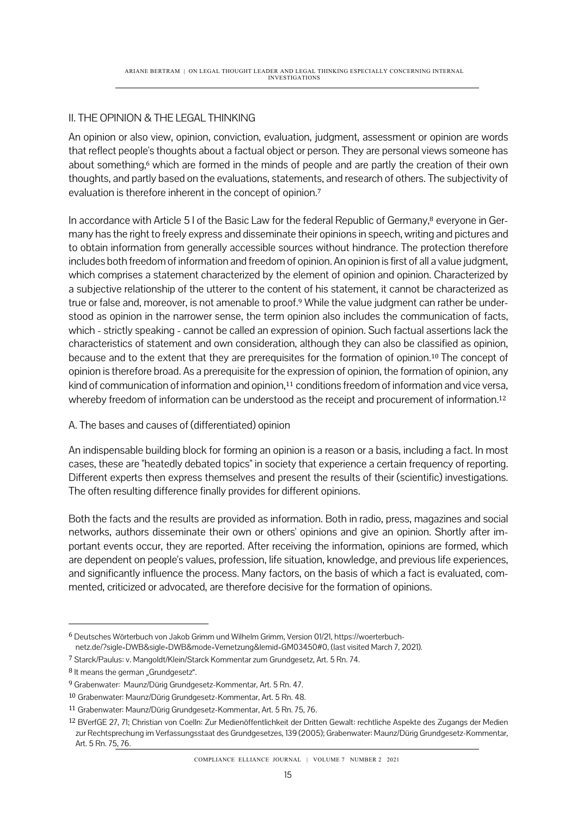# II. THE OPINION & THE LEGAL THINKING

An opinion or also view, opinion, conviction, evaluation, judgment, assessment or opinion are words that reflect people's thoughts about a factual object or person. They are personal views someone has about something,<sup>6</sup> which are formed in the minds of people and are partly the creation of their own thoughts, and partly based on the evaluations, statements, and research of others. The subjectivity of evaluation is therefore inherent in the concept of opinion.<sup>7</sup>

In accordance with Article 5 I of the Basic Law for the federal Republic of Germany, <sup>8</sup> everyone in Germany has the right to freely express and disseminate their opinions in speech, writing and pictures and to obtain information from generally accessible sources without hindrance. The protection therefore includes both freedom of information and freedom of opinion. An opinion is first of all a value judgment, which comprises a statement characterized by the element of opinion and opinion. Characterized by a subjective relationship of the utterer to the content of his statement, it cannot be characterized as true or false and, moreover, is not amenable to proof.<sup>9</sup> While the value judgment can rather be understood as opinion in the narrower sense, the term opinion also includes the communication of facts, which - strictly speaking - cannot be called an expression of opinion. Such factual assertions lack the characteristics of statement and own consideration, although they can also be classified as opinion, because and to the extent that they are prerequisites for the formation of opinion.<sup>10</sup> The concept of opinion is therefore broad. As a prerequisite for the expression of opinion, the formation of opinion, any kind of communication of information and opinion,<sup>11</sup> conditions freedom of information and vice versa, whereby freedom of information can be understood as the receipt and procurement of information.<sup>12</sup>

## A. The bases and causes of (differentiated) opinion

An indispensable building block for forming an opinion is a reason or a basis, including a fact. In most cases, these are "heatedly debated topics" in society that experience a certain frequency of reporting. Different experts then express themselves and present the results of their (scientific) investigations. The often resulting difference finally provides for different opinions.

Both the facts and the results are provided as information. Both in radio, press, magazines and social networks, authors disseminate their own or others' opinions and give an opinion. Shortly after important events occur, they are reported. After receiving the information, opinions are formed, which are dependent on people's values, profession, life situation, knowledge, and previous life experiences, and significantly influence the process. Many factors, on the basis of which a fact is evaluated, commented, criticized or advocated, are therefore decisive for the formation of opinions.

<sup>6</sup> Deutsches Wörterbuch von Jakob Grimm und Wilhelm Grimm, Version 01/21, https://woerterbuchnetz.de/?sigle=DWB&sigle=DWB&mode=Vernetzung&lemid=GM03450#0, (last visited March 7, 2021).

<sup>7</sup> Starck/Paulus: v. Mangoldt/Klein/Starck Kommentar zum Grundgesetz, Art. 5 Rn. 74.

<sup>8</sup> It means the german "Grundgesetz".

<sup>9</sup> Grabenwater: Maunz/Dürig Grundgesetz-Kommentar, Art. 5 Rn. 47.

<sup>10</sup> Grabenwater: Maunz/Dürig Grundgesetz-Kommentar, Art. 5 Rn. 48.

<sup>11</sup> Grabenwater: Maunz/Dürig Grundgesetz-Kommentar, Art. 5 Rn. 75, 76.

<sup>12</sup> BVerfGE 27, 71; Christian von Coelln: Zur Medienöffentlichkeit der Dritten Gewalt: rechtliche Aspekte des Zugangs der Medien zur Rechtsprechung im Verfassungsstaat des Grundgesetzes, 139 (2005); Grabenwater: Maunz/Dürig Grundgesetz-Kommentar, Art. 5 Rn. 75, 76.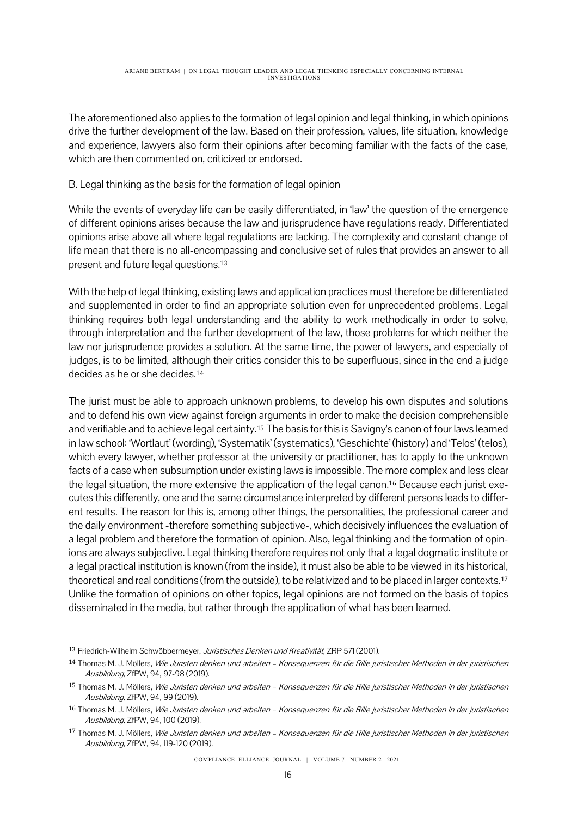The aforementioned also applies to the formation of legal opinion and legal thinking, in which opinions drive the further development of the law. Based on their profession, values, life situation, knowledge and experience, lawyers also form their opinions after becoming familiar with the facts of the case, which are then commented on, criticized or endorsed.

B. Legal thinking as the basis for the formation of legal opinion

While the events of everyday life can be easily differentiated, in 'law' the question of the emergence of different opinions arises because the law and jurisprudence have regulations ready. Differentiated opinions arise above all where legal regulations are lacking. The complexity and constant change of life mean that there is no all-encompassing and conclusive set of rules that provides an answer to all present and future legal questions.<sup>13</sup>

With the help of legal thinking, existing laws and application practices must therefore be differentiated and supplemented in order to find an appropriate solution even for unprecedented problems. Legal thinking requires both legal understanding and the ability to work methodically in order to solve, through interpretation and the further development of the law, those problems for which neither the law nor jurisprudence provides a solution. At the same time, the power of lawyers, and especially of judges, is to be limited, although their critics consider this to be superfluous, since in the end a judge decides as he or she decides.<sup>14</sup>

The jurist must be able to approach unknown problems, to develop his own disputes and solutions and to defend his own view against foreign arguments in order to make the decision comprehensible and verifiable and to achieve legal certainty.<sup>15</sup> The basis for this is Savigny's canon of four laws learned in law school: 'Wortlaut' (wording), 'Systematik' (systematics), 'Geschichte' (history) and 'Telos' (telos), which every lawyer, whether professor at the university or practitioner, has to apply to the unknown facts of a case when subsumption under existing laws is impossible. The more complex and less clear the legal situation, the more extensive the application of the legal canon.<sup>16</sup> Because each jurist executes this differently, one and the same circumstance interpreted by different persons leads to different results. The reason for this is, among other things, the personalities, the professional career and the daily environment -therefore something subjective-, which decisively influences the evaluation of a legal problem and therefore the formation of opinion. Also, legal thinking and the formation of opinions are always subjective. Legal thinking therefore requires not only that a legal dogmatic institute or a legal practical institution is known (from the inside), it must also be able to be viewed in its historical, theoretical and real conditions (from the outside), to be relativized and to be placed in larger contexts.<sup>17</sup> Unlike the formation of opinions on other topics, legal opinions are not formed on the basis of topics disseminated in the media, but rather through the application of what has been learned.

COMPLIANCE ELLIANCE JOURNAL | VOLUME 7 NUMBER 2 2021

<sup>13</sup> Friedrich-Wilhelm Schwöbbermeyer, Juristisches Denken und Kreativität, ZRP 571 (2001).

<sup>14</sup> Thomas M. J. Möllers, Wie Juristen denken und arbeiten - Konsequenzen für die Rille juristischer Methoden in der juristischen Ausbildung, ZfPW, 94, 97-98 (2019).

<sup>15</sup> Thomas M. J. Möllers, Wie Juristen denken und arbeiten - Konsequenzen für die Rille juristischer Methoden in der juristischen Ausbildung, ZfPW, 94, 99 (2019).

<sup>16</sup> Thomas M. J. Möllers, Wie Juristen denken und arbeiten – Konsequenzen für die Rille juristischer Methoden in der juristischen Ausbildung, ZfPW, 94, 100 (2019).

<sup>17</sup> Thomas M. J. Möllers, Wie Juristen denken und arbeiten - Konsequenzen für die Rille juristischer Methoden in der juristischen Ausbildung, ZfPW, 94, 119-120 (2019).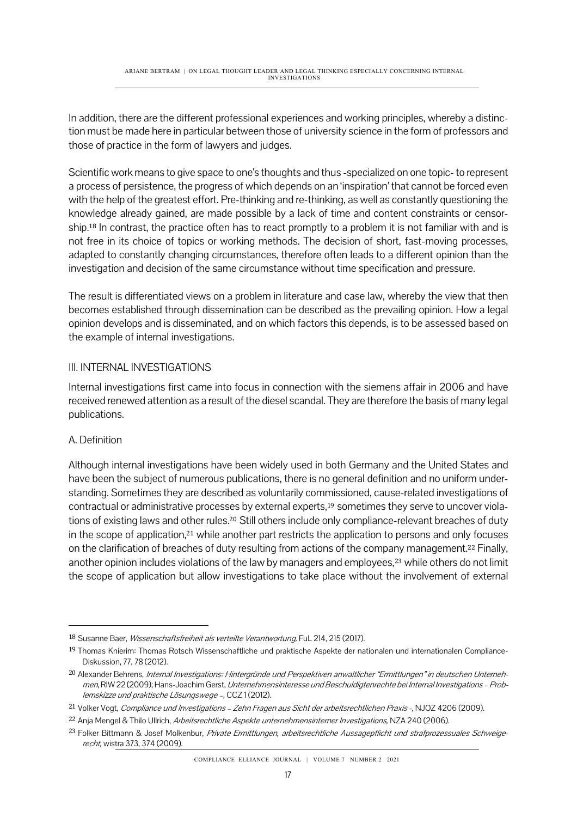In addition, there are the different professional experiences and working principles, whereby a distinction must be made here in particular between those of university science in the form of professors and those of practice in the form of lawyers and judges.

Scientific work means to give space to one's thoughts and thus -specialized on one topic- to represent a process of persistence, the progress of which depends on an 'inspiration' that cannot be forced even with the help of the greatest effort. Pre-thinking and re-thinking, as well as constantly questioning the knowledge already gained, are made possible by a lack of time and content constraints or censorship.<sup>18</sup> In contrast, the practice often has to react promptly to a problem it is not familiar with and is not free in its choice of topics or working methods. The decision of short, fast-moving processes, adapted to constantly changing circumstances, therefore often leads to a different opinion than the investigation and decision of the same circumstance without time specification and pressure.

The result is differentiated views on a problem in literature and case law, whereby the view that then becomes established through dissemination can be described as the prevailing opinion. How a legal opinion develops and is disseminated, and on which factors this depends, is to be assessed based on the example of internal investigations.

## III. INTERNAL INVESTIGATIONS

Internal investigations first came into focus in connection with the siemens affair in 2006 and have received renewed attention as a result of the diesel scandal. They are therefore the basis of many legal publications.

#### A. Definition

Although internal investigations have been widely used in both Germany and the United States and have been the subject of numerous publications, there is no general definition and no uniform understanding. Sometimes they are described as voluntarily commissioned, cause-related investigations of contractual or administrative processes by external experts,<sup>19</sup> sometimes they serve to uncover violations of existing laws and other rules.<sup>20</sup> Still others include only compliance-relevant breaches of duty in the scope of application,<sup>21</sup> while another part restricts the application to persons and only focuses on the clarification of breaches of duty resulting from actions of the company management.<sup>22</sup> Finally, another opinion includes violations of the law by managers and employees,<sup>23</sup> while others do not limit the scope of application but allow investigations to take place without the involvement of external

COMPLIANCE ELLIANCE JOURNAL | VOLUME 7 NUMBER 2 2021

<sup>&</sup>lt;sup>18</sup> Susanne Baer, *Wissenschaftsfreiheit als verteilte Verantwortung*, FuL 214, 215 (2017).

<sup>19</sup> Thomas Knierim: Thomas Rotsch Wissenschaftliche und praktische Aspekte der nationalen und internationalen Compliance-Diskussion, 77, 78 (2012).

<sup>&</sup>lt;sup>20</sup> Alexander Behrens, Internal Investigations: Hintergründe und Perspektiven anwaltlicher "Ermittlungen" in deutschen Unternehmen, RIW 22 (2009); Hans-Joachim Gerst, Unternehmensinteresse und Beschuldigtenrechte bei Internal Investigations – Problemskizze und praktische Lösungswege –, CCZ 1 (2012).

<sup>21</sup> Volker Vogt, Compliance und Investigations – Zehn Fragen aus Sicht der arbeitsrechtlichen Praxis -, NJOZ 4206 (2009).

<sup>&</sup>lt;sup>22</sup> Anja Mengel & Thilo Ullrich, Arbeitsrechtliche Aspekte unternehmensinterner Investigations, NZA 240 (2006).

<sup>&</sup>lt;sup>23</sup> Folker Bittmann & Josef Molkenbur, Private Ermittlungen, arbeitsrechtliche Aussagepflicht und strafprozessuales Schweigerecht, wistra 373, 374 (2009).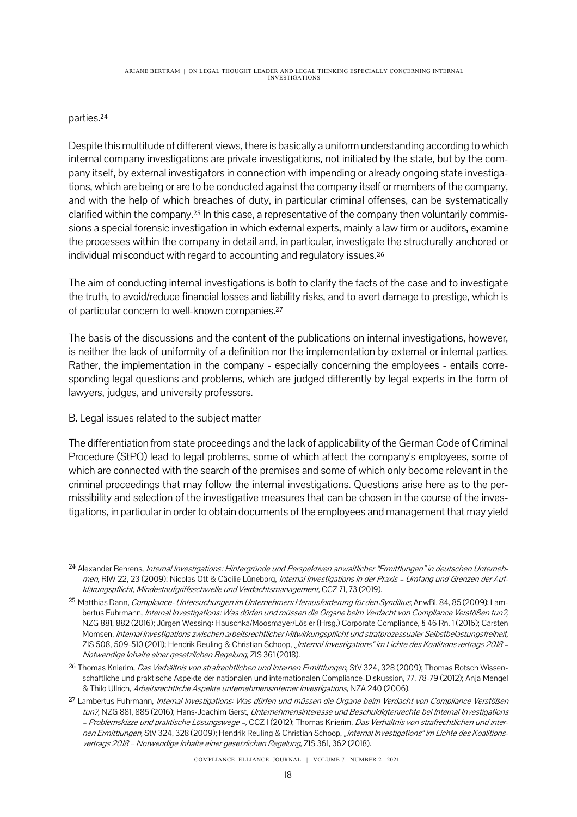#### parties.<sup>24</sup>

Despite this multitude of different views, there is basically a uniform understanding according to which internal company investigations are private investigations, not initiated by the state, but by the company itself, by external investigators in connection with impending or already ongoing state investigations, which are being or are to be conducted against the company itself or members of the company, and with the help of which breaches of duty, in particular criminal offenses, can be systematically clarified within the company.<sup>25</sup> In this case, a representative of the company then voluntarily commissions a special forensic investigation in which external experts, mainly a law firm or auditors, examine the processes within the company in detail and, in particular, investigate the structurally anchored or individual misconduct with regard to accounting and regulatory issues.<sup>26</sup>

The aim of conducting internal investigations is both to clarify the facts of the case and to investigate the truth, to avoid/reduce financial losses and liability risks, and to avert damage to prestige, which is of particular concern to well-known companies.<sup>27</sup>

The basis of the discussions and the content of the publications on internal investigations, however, is neither the lack of uniformity of a definition nor the implementation by external or internal parties. Rather, the implementation in the company - especially concerning the employees - entails corresponding legal questions and problems, which are judged differently by legal experts in the form of lawyers, judges, and university professors.

## B. Legal issues related to the subject matter

The differentiation from state proceedings and the lack of applicability of the German Code of Criminal Procedure (StPO) lead to legal problems, some of which affect the company's employees, some of which are connected with the search of the premises and some of which only become relevant in the criminal proceedings that may follow the internal investigations. Questions arise here as to the permissibility and selection of the investigative measures that can be chosen in the course of the investigations, in particular in order to obtain documents of the employees and management that may yield

<sup>24</sup> Alexander Behrens, Internal Investigations: Hintergründe und Perspektiven anwaltlicher "Ermittlungen" in deutschen Unternehmen, RIW 22, 23 (2009); Nicolas Ott & Cäcilie Lüneborg, Internal Investigations in der Praxis - Umfang und Grenzen der Aufklärungspflicht, Mindestaufgriffsschwelle und Verdachtsmanagement, CCZ 71, 73 (2019).

<sup>&</sup>lt;sup>25</sup> Matthias Dann, Compliance- Untersuchungen im Unternehmen: Herausforderung für den Syndikus, AnwBl. 84, 85 (2009); Lambertus Fuhrmann, Internal Investigations: Was dürfen und müssen die Organe beim Verdacht von Compliance Verstößen tun?, NZG 881, 882 (2016); Jürgen Wessing: Hauschka/Moosmayer/Lösler (Hrsg.) Corporate Compliance, § 46 Rn. 1 (2016); Carsten Momsen, Internal Investigations zwischen arbeitsrechtlicher Mitwirkungspflicht und strafprozessualer Selbstbelastungsfreiheit, ZIS 508, 509-510 (2011); Hendrik Reuling & Christian Schoop, "Internal Investigations" im Lichte des Koalitionsvertrags 2018 – Notwendige Inhalte einer gesetzlichen Regelung, ZIS 361 (2018).

<sup>&</sup>lt;sup>26</sup> Thomas Knierim, *Das Verhältnis von strafrechtlichen und internen Ermittlungen*, StV 324, 328 (2009); Thomas Rotsch Wissenschaftliche und praktische Aspekte der nationalen und internationalen Compliance-Diskussion, 77, 78-79 (2012); Anja Mengel & Thilo UIlrich, Arbeitsrechtliche Aspekte unternehmensinterner Investigations, NZA 240 (2006).

<sup>&</sup>lt;sup>27</sup> Lambertus Fuhrmann, Internal Investigations: Was dürfen und müssen die Organe beim Verdacht von Compliance Verstößen tun?, NZG 881, 885 (2016); Hans-Joachim Gerst, Unternehmensinteresse und Beschuldigtenrechte bei Internal Investigations – Problemskizze und praktische Lösungswege –, CCZ 1 (2012); Thomas Knierim, Das Verhältnis von strafrechtlichen und internen Ermittlungen, StV 324, 328 (2009); Hendrik Reuling & Christian Schoop, "Internal Investigations" im Lichte des Koalitionsvertrags 2018 – Notwendige Inhalte einer gesetzlichen Regelung, ZIS 361, 362 (2018).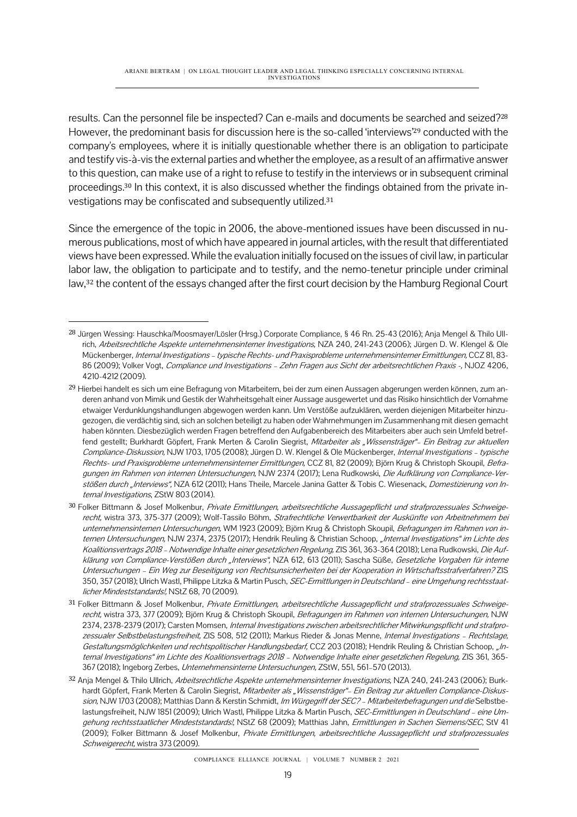results. Can the personnel file be inspected? Can e-mails and documents be searched and seized?<sup>28</sup> However, the predominant basis for discussion here is the so-called 'interviews' <sup>29</sup> conducted with the company's employees, where it is initially questionable whether there is an obligation to participate and testify vis-à-vis the external parties and whether the employee, as a result of an affirmative answer to this question, can make use of a right to refuse to testify in the interviews or in subsequent criminal proceedings.<sup>30</sup> In this context, it is also discussed whether the findings obtained from the private investigations may be confiscated and subsequently utilized.<sup>31</sup>

Since the emergence of the topic in 2006, the above-mentioned issues have been discussed in numerous publications, most of which have appeared in journal articles, with the result that differentiated views have been expressed. While the evaluation initially focused on the issues of civil law, in particular labor law, the obligation to participate and to testify, and the nemo-tenetur principle under criminal law,<sup>32</sup> the content of the essays changed after the first court decision by the Hamburg Regional Court

<sup>28</sup> Jürgen Wessing: Hauschka/Moosmayer/Lösler (Hrsg.) Corporate Compliance, § 46 Rn. 25-43 (2016); Anja Mengel & Thilo UIlrich, Arbeitsrechtliche Aspekte unternehmensinterner Investigations, NZA 240, 241-243 (2006); Jürgen D. W. Klengel & Ole Mückenberger, Internal Investigations – typische Rechts- und Praxisprobleme unternehmensinterner Ermittlungen, CCZ 81, 83-86 (2009); Volker Vogt, Compliance und Investigations - Zehn Fragen aus Sicht der arbeitsrechtlichen Praxis -, NJOZ 4206, 4210-4212 (2009).

<sup>29</sup> Hierbei handelt es sich um eine Befragung von Mitarbeitern, bei der zum einen Aussagen abgerungen werden können, zum anderen anhand von Mimik und Gestik der Wahrheitsgehalt einer Aussage ausgewertet und das Risiko hinsichtlich der Vornahme etwaiger Verdunklungshandlungen abgewogen werden kann. Um Verstöße aufzuklären, werden diejenigen Mitarbeiter hinzugezogen, die verdächtig sind, sich an solchen beteiligt zu haben oder Wahrnehmungen im Zusammenhang mit diesen gemacht haben könnten. Diesbezüglich werden Fragen betreffend den Aufgabenbereich des Mitarbeiters aber auch sein Umfeld betreffend gestellt; Burkhardt Göpfert, Frank Merten & Carolin Siegrist, *Mitarbeiter als "Wissensträger"– Ein Beitrag zur aktuellen* Compliance-Diskussion, NJW 1703, 1705 (2008); Jürgen D. W. Klengel & Ole Mückenberger, Internal Investigations – typische Rechts- und Praxisprobleme unternehmensinterner Ermittlungen, CCZ 81, 82 (2009); Björn Krug & Christoph Skoupil, Befragungen im Rahmen von internen Untersuchungen, NJW 2374 (2017); Lena Rudkowski, Die Aufklärung von Compliance-Verstößen durch "Interviews", NZA 612 (2011); Hans Theile, Marcele Janina Gatter & Tobis C. Wiesenack, Domestizierung von Internal Investigations, ZStW 803 (2014).

<sup>30</sup> Folker Bittmann & Josef Molkenbur, Private Ermittlungen, arbeitsrechtliche Aussagepflicht und strafprozessuales Schweigerecht, wistra 373, 375-377 (2009); Wolf-Tassilo Böhm, Strafrechtliche Verwertbarkeit der Auskünfte von Arbeitnehmern bei unternehmensinternen Untersuchungen, WM 1923 (2009); Björn Krug & Christoph Skoupil, Befragungen im Rahmen von internen Untersuchungen, NJW 2374, 2375 (2017); Hendrik Reuling & Christian Schoop, "Internal Investigations" im Lichte des Koalitionsvertrags 2018 – Notwendige Inhalte einer gesetzlichen Regelung, ZIS 361, 363-364 (2018); Lena Rudkowski, Die Aufklärung von Compliance-Verstößen durch "Interviews", NZA 612, 613 (2011); Sascha Süße, Gesetzliche Vorgaben für interne Untersuchungen – Ein Weg zur Beseitigung von Rechtsunsicherheiten bei der Kooperation in Wirtschaftsstrafverfahren? ZIS 350, 357 (2018); Ulrich Wastl, Philippe Litzka & Martin Pusch, SEC-Ermittlungen in Deutschland – eine Umgehung rechtsstaatlicher Mindeststandards!, NStZ 68, 70 (2009).

<sup>31</sup> Folker Bittmann & Josef Molkenbur, Private Ermittlungen, arbeitsrechtliche Aussagepflicht und strafprozessuales Schweigerecht, wistra 373, 377 (2009); Björn Krug & Christoph Skoupil, Befragungen im Rahmen von internen Untersuchungen, NJW 2374, 2378-2379 (2017); Carsten Momsen, Internal Investigations zwischen arbeitsrechtlicher Mitwirkungspflicht und strafprozessualer Selbstbelastungsfreiheit, ZIS 508, 512 (2011); Markus Rieder & Jonas Menne, Internal Investigations - Rechtslage, Gestaltungsmöglichkeiten und rechtspolitischer Handlungsbedarf, CCZ 203 (2018); Hendrik Reuling & Christian Schoop, "Internal Investigations" im Lichte des Koalitionsvertrags 2018 - Notwendige Inhalte einer gesetzlichen Regelung, ZIS 361, 365-367 (2018); Ingeborg Zerbes, Unternehmensinterne Untersuchungen, ZStW, 551, 561-570 (2013).

<sup>32</sup> Anja Mengel & Thilo Ullrich, Arbeitsrechtliche Aspekte unternehmensinterner Investigations, NZA 240, 241-243 (2006); Burkhardt Göpfert, Frank Merten & Carolin Siegrist, Mitarbeiter als "Wissensträger"- Ein Beitrag zur aktuellen Compliance-Diskussion, NJW 1703 (2008); Matthias Dann & Kerstin Schmidt, Im Würgegriff der SEC? - Mitarbeiterbefragungen und die Selbstbelastungsfreiheit, NJW 1851 (2009); Ulrich Wastl, Philippe Litzka & Martin Pusch, SEC-Ermittlungen in Deutschland - eine Umgehung rechtsstaatlicher Mindeststandards!, NStZ 68 (2009); Matthias Jahn, Ermittlungen in Sachen Siemens/SEC, StV 41 (2009); Folker Bittmann & Josef Molkenbur, Private Ermittlungen, arbeitsrechtliche Aussagepflicht und strafprozessuales Schweigerecht, wistra 373 (2009).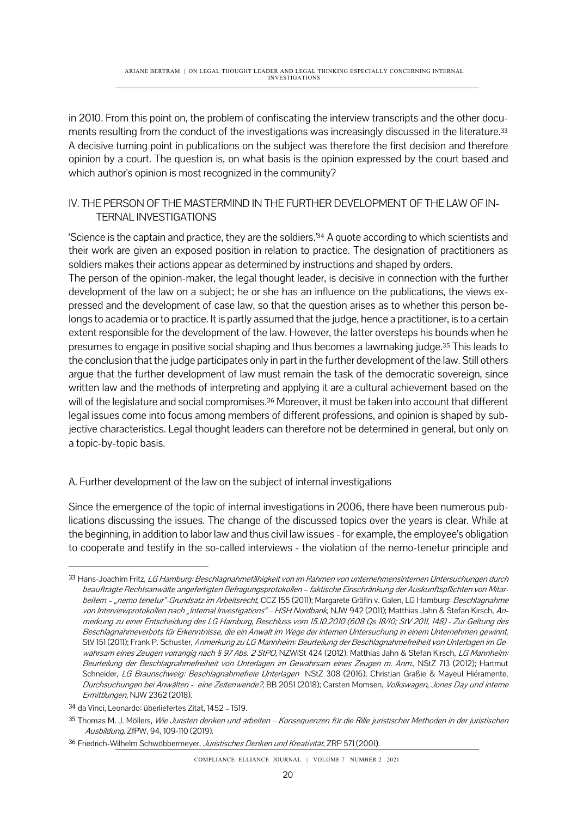in 2010. From this point on, the problem of confiscating the interview transcripts and the other documents resulting from the conduct of the investigations was increasingly discussed in the literature.<sup>33</sup> A decisive turning point in publications on the subject was therefore the first decision and therefore opinion by a court. The question is, on what basis is the opinion expressed by the court based and which author's opinion is most recognized in the community?

### IV. THE PERSON OF THE MASTERMIND IN THE FURTHER DEVELOPMENT OF THE LAW OF IN-TERNAL INVESTIGATIONS

'Science is the captain and practice, they are the soldiers.' <sup>34</sup> A quote according to which scientists and their work are given an exposed position in relation to practice. The designation of practitioners as soldiers makes their actions appear as determined by instructions and shaped by orders.

The person of the opinion-maker, the legal thought leader, is decisive in connection with the further development of the law on a subject; he or she has an influence on the publications, the views expressed and the development of case law, so that the question arises as to whether this person belongs to academia or to practice. It is partly assumed that the judge, hence a practitioner, is to a certain extent responsible for the development of the law. However, the latter oversteps his bounds when he presumes to engage in positive social shaping and thus becomes a lawmaking judge.<sup>35</sup> This leads to the conclusion that the judge participates only in part in the further development of the law. Still others argue that the further development of law must remain the task of the democratic sovereign, since written law and the methods of interpreting and applying it are a cultural achievement based on the will of the legislature and social compromises.<sup>36</sup> Moreover, it must be taken into account that different legal issues come into focus among members of different professions, and opinion is shaped by subjective characteristics. Legal thought leaders can therefore not be determined in general, but only on a topic-by-topic basis.

#### A. Further development of the law on the subject of internal investigations

Since the emergence of the topic of internal investigations in 2006, there have been numerous publications discussing the issues. The change of the discussed topics over the years is clear. While at the beginning, in addition to labor law and thus civil law issues -for example, the employee's obligation to cooperate and testify in the so-called interviews - the violation of the nemo-tenetur principle and

COMPLIANCE ELLIANCE JOURNAL | VOLUME 7 NUMBER 2 2021

<sup>33</sup> Hans-Joachim Fritz, LG Hamburg: Beschlagnahmefähigkeit von im Rahmen von unternehmensinternen Untersuchungen durch beauftragte Rechtsanwälte angefertigten Befragungsprotokollen – faktische Einschränkung der Auskunftspflichten von Mitarbeitern - "nemo tenetur"-Grundsatz im Arbeitsrecht, CCZ 155 (2011); Margarete Gräfin v. Galen, LG Hamburg: Beschlagnahme von Interviewprotokollen nach "Internal Investigations" – HSH Nordbank, NJW 942 (2011); Matthias Jahn & Stefan Kirsch, Anmerkung zu einer Entscheidung des LG Hamburg, Beschluss vom 15.10.2010 (608 Qs 18/10; StV 2011, 148) - Zur Geltung des Beschlagnahmeverbots für Erkenntnisse, die ein Anwalt im Wege der internen Untersuchung in einem Unternehmen gewinnt, StV 151 (2011); Frank P. Schuster, Anmerkung zu LG Mannheim: Beurteilung der Beschlagnahmefreiheit von Unterlagen im Gewahrsam eines Zeugen vorrangig nach § 97 Abs. 2 StPO, NZWiSt 424 (2012); Matthias Jahn & Stefan Kirsch, LG Mannheim: Beurteilung der Beschlagnahmefreiheit von Unterlagen im Gewahrsam eines Zeugen m. Anm., NStZ 713 (2012); Hartmut Schneider, LG Braunschweig: Beschlagnahmefreie Unterlagen NStZ 308 (2016); Christian Graßie & Mayeul Hiéramente, Durchsuchungen bei Anwälten - eine Zeitenwende?, BB 2051 (2018); Carsten Momsen, Volkswagen, Jones Day und interne Ermittlungen, NJW 2362 (2018).

<sup>34</sup> da Vinci, Leonardo: überliefertes Zitat, 1452 – 1519.

<sup>35</sup> Thomas M. J. Möllers, Wie Juristen denken und arbeiten - Konsequenzen für die Rille juristischer Methoden in der juristischen Ausbildung, ZfPW, 94, 109-110 (2019).

<sup>36</sup> Friedrich-Wilhelm Schwöbbermeyer, Juristisches Denken und Kreativität, ZRP 571 (2001).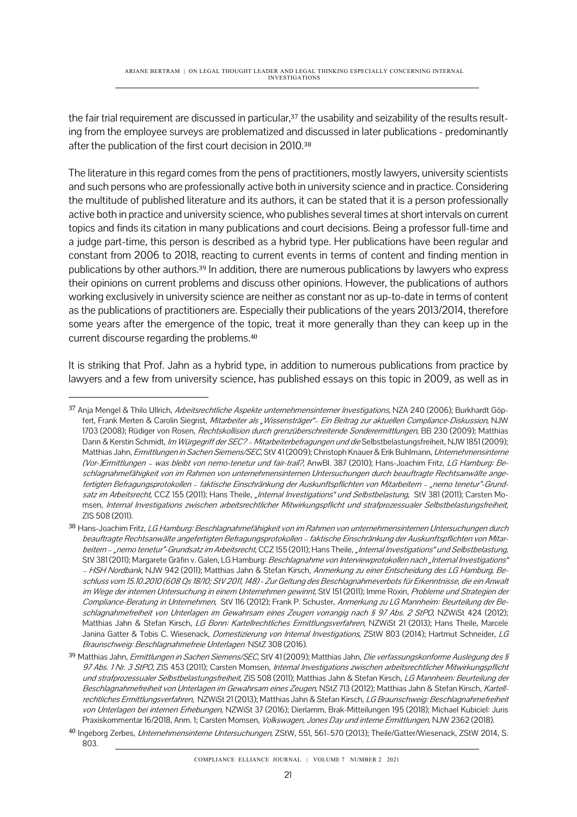the fair trial requirement are discussed in particular,<sup>37</sup> the usability and seizability of the results resulting from the employee surveys are problematized and discussed in later publications - predominantly after the publication of the first court decision in 2010.<sup>38</sup>

The literature in this regard comes from the pens of practitioners, mostly lawyers, university scientists and such persons who are professionally active both in university science and in practice. Considering the multitude of published literature and its authors, it can be stated that it is a person professionally active both in practice and university science, who publishes several times at short intervals on current topics and finds its citation in many publications and court decisions. Being a professor full-time and a judge part-time, this person is described as a hybrid type. Her publications have been regular and constant from 2006 to 2018, reacting to current events in terms of content and finding mention in publications by other authors.<sup>39</sup> In addition, there are numerous publications by lawyers who express their opinions on current problems and discuss other opinions. However, the publications of authors working exclusively in university science are neither as constant nor as up-to-date in terms of content as the publications of practitioners are. Especially their publications of the years 2013/2014, therefore some years after the emergence of the topic, treat it more generally than they can keep up in the current discourse regarding the problems.<sup>40</sup>

It is striking that Prof. Jahn as a hybrid type, in addition to numerous publications from practice by lawyers and a few from university science, has published essays on this topic in 2009, as well as in

<sup>37</sup> Anja Mengel & Thilo Ullrich, Arbeitsrechtliche Aspekte unternehmensinterner Investigations, NZA 240 (2006); Burkhardt Göpfert, Frank Merten & Carolin Siegrist, Mitarbeiter als "Wissensträger"- Ein Beitrag zur aktuellen Compliance-Diskussion, NJW 1703 (2008); Rüdiger von Rosen, Rechtskollision durch grenzüberschreitende Sonderermittlungen, BB 230 (2009); Matthias Dann & Kerstin Schmidt, Im Würgegriff der SEC? - Mitarbeiterbefragungen und die Selbstbelastungsfreiheit, NJW 1851 (2009); Matthias Jahn, Ermittlungen in Sachen Siemens/SEC, StV 41(2009); Christoph Knauer & Erik Buhlmann, Unternehmensinterne (Vor-)Ermittlungen – was bleibt von nemo-tenetur und fair-trail?, AnwBl. 387 (2010); Hans-Joachim Fritz, LG Hamburg: Beschlagnahmefähigkeit von im Rahmen von unternehmensinternen Untersuchungen durch beauftragte Rechtsanwälte angefertigten Befragungsprotokollen – faktische Einschränkung der Auskunftspflichten von Mitarbeitern – "nemo tenetur"-Grundsatz im Arbeitsrecht, CCZ 155 (2011); Hans Theile, "Internal Investigations" und Selbstbelastung, StV 381 (2011); Carsten Momsen, Internal Investigations zwischen arbeitsrechtlicher Mitwirkungspflicht und strafprozessualer Selbstbelastungsfreiheit, ZIS 508 (2011).

<sup>38</sup> Hans-Joachim Fritz, LG Hamburg: Beschlagnahmefähigkeit von im Rahmen von unternehmensinternen Untersuchungen durch beauftragte Rechtsanwälte angefertigten Befragungsprotokollen – faktische Einschränkung der Auskunftspflichten von Mitarbeitern – "nemo tenetur"-Grundsatz im Arbeitsrecht, CCZ 155 (2011); Hans Theile, "Internal Investigations" und Selbstbelastung, StV 381 (2011); Margarete Gräfin v. Galen, LG Hamburg: Beschlagnahme von Interviewprotokollen nach "Internal Investigations" – HSH Nordbank, NJW 942 (2011); Matthias Jahn & Stefan Kirsch, Anmerkung zu einer Entscheidung des LG Hamburg, Beschluss vom 15.10.2010 (608 Qs 18/10; StV 2011, 148) - Zur Geltung des Beschlagnahmeverbots für Erkenntnisse, die ein Anwalt im Wege der internen Untersuchung in einem Unternehmen gewinnt, StV 151 (2011); Imme Roxin, Probleme und Strategien der Compliance-Beratung in Unternehmen, StV 116 (2012); Frank P. Schuster, Anmerkung zu LG Mannheim: Beurteilung der Beschlagnahmefreiheit von Unterlagen im Gewahrsam eines Zeugen vorrangig nach § 97 Abs. 2 StPO, NZWiSt 424 (2012); Matthias Jahn & Stefan Kirsch, LG Bonn: Kartellrechtliches Ermittlungsverfahren, NZWiSt 21 (2013); Hans Theile, Marcele Janina Gatter & Tobis C. Wiesenack, Domestizierung von Internal Investigations, ZStW 803 (2014); Hartmut Schneider, LG Braunschweig: Beschlagnahmefreie Unterlagen NStZ 308 (2016).

<sup>39</sup> Matthias Jahn, Ermittlungen in Sachen Siemens/SEC, StV 41 (2009); Matthias Jahn, Die verfassungskonforme Auslegung des § 97 Abs. 1 Nr. 3 StPO, ZIS 453 (2011); Carsten Momsen, Internal Investigations zwischen arbeitsrechtlicher Mitwirkungspflicht und strafprozessualer Selbstbelastungsfreiheit, ZIS 508 (2011); Matthias Jahn & Stefan Kirsch, LG Mannheim: Beurteilung der Beschlagnahmefreiheit von Unterlagen im Gewahrsam eines Zeugen, NStZ 713 (2012); Matthias Jahn & Stefan Kirsch, Kartellrechtliches Ermittlungsverfahren, NZWiSt 21 (2013); Matthias Jahn & Stefan Kirsch, LG Braunschweig: Beschlagnahmefreiheit von Unterlagen bei internen Erhebungen, NZWiSt 37 (2016); Dierlamm, Brak-Mitteilungen 195 (2018); Michael Kubiciel: Juris Praxiskommentar 16/2018, Anm. 1; Carsten Momsen, Volkswagen, Jones Day und interne Ermittlungen, NJW 2362 (2018).

<sup>40</sup> Ingeborg Zerbes, Unternehmensinterne Untersuchungen, ZStW, 551, 561-570 (2013); Theile/Gatter/Wiesenack, ZStW 2014, S. 803.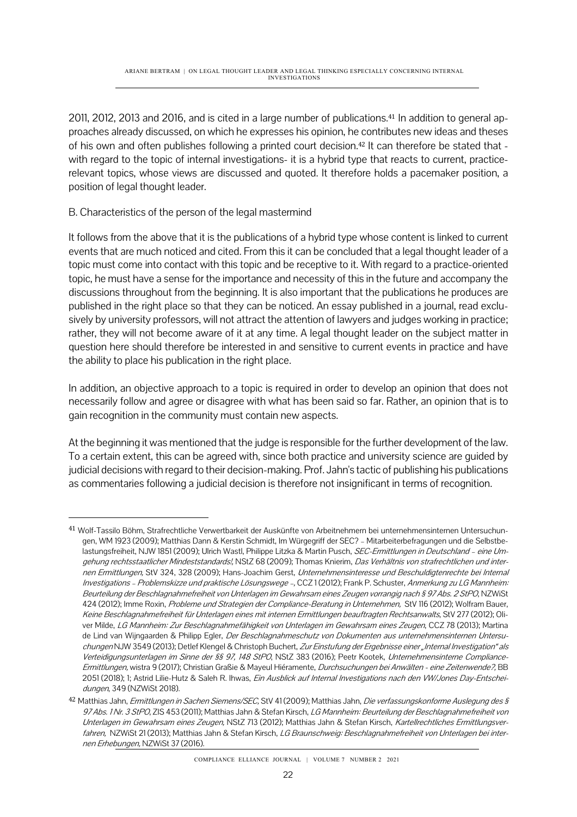2011, 2012, 2013 and 2016, and is cited in a large number of publications.<sup>41</sup> In addition to general approaches already discussed, on which he expresses his opinion, he contributes new ideas and theses of his own and often publishes following a printed court decision.<sup>42</sup> It can therefore be stated that with regard to the topic of internal investigations- it is a hybrid type that reacts to current, practicerelevant topics, whose views are discussed and quoted. It therefore holds a pacemaker position, a position of legal thought leader.

## B. Characteristics of the person of the legal mastermind

It follows from the above that it is the publications of a hybrid type whose content is linked to current events that are much noticed and cited. From this it can be concluded that a legal thought leader of a topic must come into contact with this topic and be receptive to it. With regard to a practice-oriented topic, he must have a sense for the importance and necessity of this in the future and accompany the discussions throughout from the beginning. It is also important that the publications he produces are published in the right place so that they can be noticed. An essay published in a journal, read exclusively by university professors, will not attract the attention of lawyers and judges working in practice; rather, they will not become aware of it at any time. A legal thought leader on the subject matter in question here should therefore be interested in and sensitive to current events in practice and have the ability to place his publication in the right place.

In addition, an objective approach to a topic is required in order to develop an opinion that does not necessarily follow and agree or disagree with what has been said so far. Rather, an opinion that is to gain recognition in the community must contain new aspects.

At the beginning it was mentioned that the judge is responsible for the further development of the law. To a certain extent, this can be agreed with, since both practice and university science are guided by judicial decisions with regard to their decision-making. Prof. Jahn's tactic of publishing his publications as commentaries following a judicial decision is therefore not insignificant in terms of recognition.

<sup>41</sup> Wolf-Tassilo Böhm, Strafrechtliche Verwertbarkeit der Auskünfte von Arbeitnehmern bei unternehmensinternen Untersuchungen, WM 1923 (2009); Matthias Dann & Kerstin Schmidt, Im Würgegriff der SEC? – Mitarbeiterbefragungen und die Selbstbelastungsfreiheit, NJW 1851 (2009); Ulrich Wastl, Philippe Litzka & Martin Pusch, SEC-Ermittlungen in Deutschland - eine Umgehung rechtsstaatlicher Mindeststandards!, NStZ 68 (2009); Thomas Knierim, Das Verhältnis von strafrechtlichen und internen Ermittlungen, StV 324, 328 (2009); Hans-Joachim Gerst, Unternehmensinteresse und Beschuldigtenrechte bei Internal Investigations – Problemskizze und praktische Lösungswege –, CCZ 1 (2012); Frank P. Schuster, Anmerkung zu LG Mannheim: Beurteilung der Beschlagnahmefreiheit von Unterlagen im Gewahrsam eines Zeugen vorrangig nach § 97 Abs. 2 StPO, NZWiSt 424 (2012); Imme Roxin, Probleme und Strategien der Compliance-Beratung in Unternehmen, StV 116 (2012); Wolfram Bauer, Keine Beschlagnahmefreiheit für Unterlagen eines mit internen Ermittlungen beauftragten Rechtsanwalts, StV 277 (2012); Oliver Milde, LG Mannheim: Zur Beschlagnahmefähigkeit von Unterlagen im Gewahrsam eines Zeugen, CCZ 78 (2013); Martina de Lind van Wijngaarden & Philipp Egler, Der Beschlagnahmeschutz von Dokumenten aus unternehmensinternen Untersuchungen NJW 3549 (2013); Detlef Klengel & Christoph Buchert, Zur Einstufung der Ergebnisse einer "Internal Investigation" als Verteidigungsunterlagen im Sinne der §§ 97, 148 StPO, NStZ 383 (2016); Peetr Kootek, Unternehmensinterne Compliance-Ermittlungen, wistra 9 (2017); Christian Graßie & Mayeul Hiéramente, Durchsuchungen bei Anwälten - eine Zeitenwende?, BB 2051 (2018); 1; Astrid Lilie-Hutz & Saleh R. Ihwas, Ein Ausblick auf Internal Investigations nach den VW/Jones Day-Entscheidungen, 349 (NZWiSt 2018).

<sup>42</sup> Matthias Jahn, Ermittlungen in Sachen Siemens/SEC, StV 41 (2009); Matthias Jahn, Die verfassungskonforme Auslegung des § 97 Abs. 1 Nr. 3 StPO, ZIS 453 (2011); Matthias Jahn & Stefan Kirsch, LG Mannheim: Beurteilung der Beschlagnahmefreiheit von Unterlagen im Gewahrsam eines Zeugen, NStZ 713 (2012); Matthias Jahn & Stefan Kirsch, Kartellrechtliches Ermittlungsverfahren, NZWiSt 21 (2013); Matthias Jahn & Stefan Kirsch, LG Braunschweig: Beschlagnahmefreiheit von Unterlagen bei internen Erhebungen, NZWiSt 37 (2016).